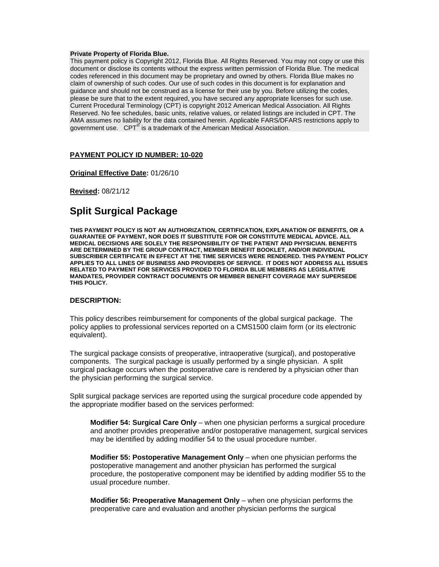#### **Private Property of Florida Blue.**

This payment policy is Copyright 2012, Florida Blue. All Rights Reserved. You may not copy or use this document or disclose its contents without the express written permission of Florida Blue. The medical codes referenced in this document may be proprietary and owned by others. Florida Blue makes no claim of ownership of such codes. Our use of such codes in this document is for explanation and guidance and should not be construed as a license for their use by you. Before utilizing the codes, please be sure that to the extent required, you have secured any appropriate licenses for such use. Current Procedural Terminology (CPT) is copyright 2012 American Medical Association. All Rights Reserved. No fee schedules, basic units, relative values, or related listings are included in CPT. The AMA assumes no liability for the data contained herein. Applicable FARS/DFARS restrictions apply to government use. CPT<sup>®</sup> is a trademark of the American Medical Association.

#### **PAYMENT POLICY ID NUMBER: 10-020**

**Original Effective Date:** 01/26/10

**Revised:** 08/21/12

# **Split Surgical Package**

**THIS PAYMENT POLICY IS NOT AN AUTHORIZATION, CERTIFICATION, EXPLANATION OF BENEFITS, OR A GUARANTEE OF PAYMENT, NOR DOES IT SUBSTITUTE FOR OR CONSTITUTE MEDICAL ADVICE. ALL MEDICAL DECISIONS ARE SOLELY THE RESPONSIBILITY OF THE PATIENT AND PHYSICIAN. BENEFITS ARE DETERMINED BY THE GROUP CONTRACT, MEMBER BENEFIT BOOKLET, AND/OR INDIVIDUAL SUBSCRIBER CERTIFICATE IN EFFECT AT THE TIME SERVICES WERE RENDERED. THIS PAYMENT POLICY APPLIES TO ALL LINES OF BUSINESS AND PROVIDERS OF SERVICE. IT DOES NOT ADDRESS ALL ISSUES RELATED TO PAYMENT FOR SERVICES PROVIDED TO FLORIDA BLUE MEMBERS AS LEGISLATIVE MANDATES, PROVIDER CONTRACT DOCUMENTS OR MEMBER BENEFIT COVERAGE MAY SUPERSEDE THIS POLICY.** 

## **DESCRIPTION:**

This policy describes reimbursement for components of the global surgical package. The policy applies to professional services reported on a CMS1500 claim form (or its electronic equivalent).

The surgical package consists of preoperative, intraoperative (surgical), and postoperative components. The surgical package is usually performed by a single physician. A split surgical package occurs when the postoperative care is rendered by a physician other than the physician performing the surgical service.

Split surgical package services are reported using the surgical procedure code appended by the appropriate modifier based on the services performed:

**Modifier 54: Surgical Care Only** – when one physician performs a surgical procedure and another provides preoperative and/or postoperative management, surgical services may be identified by adding modifier 54 to the usual procedure number.

**Modifier 55: Postoperative Management Only** – when one physician performs the postoperative management and another physician has performed the surgical procedure, the postoperative component may be identified by adding modifier 55 to the usual procedure number.

**Modifier 56: Preoperative Management Only** – when one physician performs the preoperative care and evaluation and another physician performs the surgical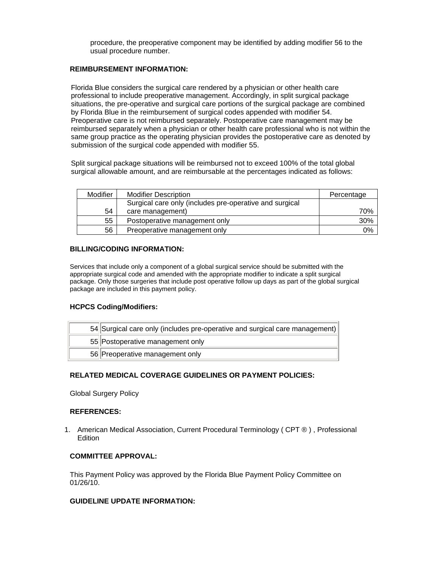procedure, the preoperative component may be identified by adding modifier 56 to the usual procedure number.

## **REIMBURSEMENT INFORMATION:**

Florida Blue considers the surgical care rendered by a physician or other health care professional to include preoperative management. Accordingly, in split surgical package situations, the pre-operative and surgical care portions of the surgical package are combined by Florida Blue in the reimbursement of surgical codes appended with modifier 54. Preoperative care is not reimbursed separately. Postoperative care management may be reimbursed separately when a physician or other health care professional who is not within the same group practice as the operating physician provides the postoperative care as denoted by submission of the surgical code appended with modifier 55.

Split surgical package situations will be reimbursed not to exceed 100% of the total global surgical allowable amount, and are reimbursable at the percentages indicated as follows:

| Modifier | <b>Modifier Description</b>                             | Percentage |
|----------|---------------------------------------------------------|------------|
|          | Surgical care only (includes pre-operative and surgical |            |
| 54       | care management)                                        | 70%        |
| 55       | Postoperative management only                           | 30%        |
| 56       | Preoperative management only                            | 0%         |

# **BILLING/CODING INFORMATION:**

Services that include only a component of a global surgical service should be submitted with the appropriate surgical code and amended with the appropriate modifier to indicate a split surgical package. Only those surgeries that include post operative follow up days as part of the global surgical package are included in this payment policy.

# **HCPCS Coding/Modifiers:**

| 54 Surgical care only (includes pre-operative and surgical care management) |
|-----------------------------------------------------------------------------|
| 55 Postoperative management only                                            |
| 56 Preoperative management only                                             |

# **RELATED MEDICAL COVERAGE GUIDELINES OR PAYMENT POLICIES:**

Global Surgery Policy

## **REFERENCES:**

1. American Medical Association, Current Procedural Terminology ( CPT ® ) , Professional **Edition** 

# **COMMITTEE APPROVAL:**

This Payment Policy was approved by the Florida Blue Payment Policy Committee on 01/26/10.

## **GUIDELINE UPDATE INFORMATION:**